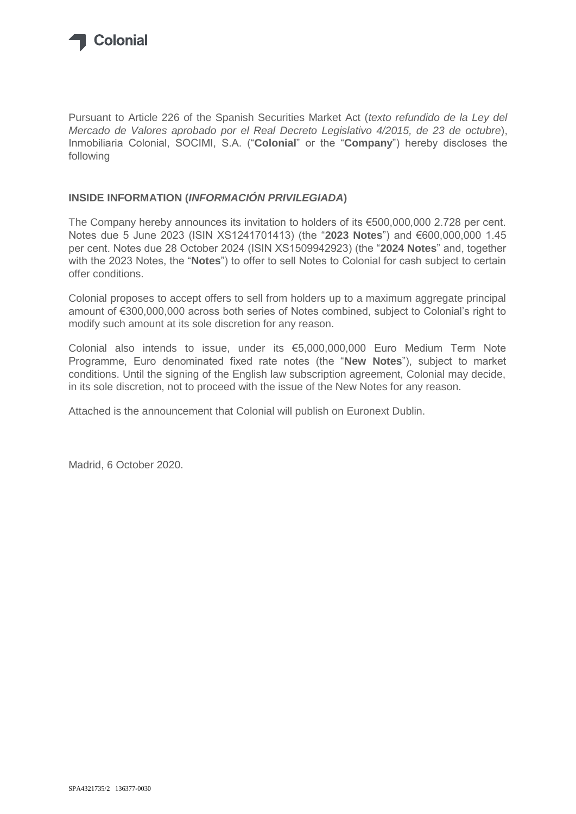

Pursuant to Article 226 of the Spanish Securities Market Act (*texto refundido de la Ley del Mercado de Valores aprobado por el Real Decreto Legislativo 4/2015, de 23 de octubre*), Inmobiliaria Colonial, SOCIMI, S.A. ("**Colonial**" or the "**Company**") hereby discloses the following

# **INSIDE INFORMATION (***INFORMACIÓN PRIVILEGIADA***)**

The Company hereby announces its invitation to holders of its €500,000,000 2.728 per cent. Notes due 5 June 2023 (ISIN XS1241701413) (the "**2023 Notes**") and €600,000,000 1.45 per cent. Notes due 28 October 2024 (ISIN XS1509942923) (the "**2024 Notes**" and, together with the 2023 Notes, the "**Notes**") to offer to sell Notes to Colonial for cash subject to certain offer conditions.

Colonial proposes to accept offers to sell from holders up to a maximum aggregate principal amount of €300,000,000 across both series of Notes combined, subject to Colonial's right to modify such amount at its sole discretion for any reason.

Colonial also intends to issue, under its €5,000,000,000 Euro Medium Term Note Programme, Euro denominated fixed rate notes (the "**New Notes**"), subject to market conditions. Until the signing of the English law subscription agreement, Colonial may decide, in its sole discretion, not to proceed with the issue of the New Notes for any reason.

Attached is the announcement that Colonial will publish on Euronext Dublin.

Madrid, 6 October 2020.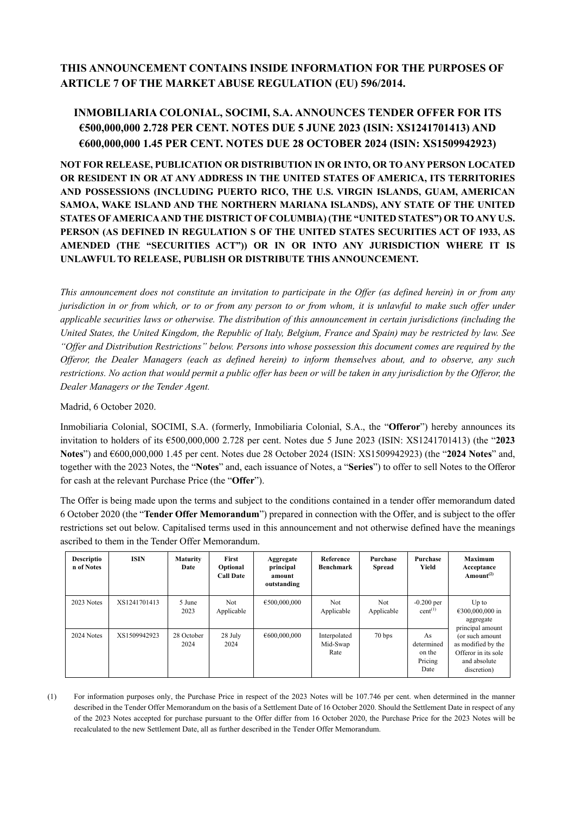# **THIS ANNOUNCEMENT CONTAINS INSIDE INFORMATION FOR THE PURPOSES OF ARTICLE 7 OF THE MARKET ABUSE REGULATION (EU) 596/2014.**

# **INMOBILIARIA COLONIAL, SOCIMI, S.A. ANNOUNCES TENDER OFFER FOR ITS €500,000,000 2.728 PER CENT. NOTES DUE 5 JUNE 2023 (ISIN: XS1241701413) AND €600,000,000 1.45 PER CENT. NOTES DUE 28 OCTOBER 2024 (ISIN: XS1509942923)**

**NOT FOR RELEASE, PUBLICATION OR DISTRIBUTION IN OR INTO, OR TO ANY PERSON LOCATED OR RESIDENT IN OR AT ANY ADDRESS IN THE UNITED STATES OF AMERICA, ITS TERRITORIES AND POSSESSIONS (INCLUDING PUERTO RICO, THE U.S. VIRGIN ISLANDS, GUAM, AMERICAN SAMOA, WAKE ISLAND AND THE NORTHERN MARIANA ISLANDS), ANY STATE OF THE UNITED STATES OF AMERICA AND THE DISTRICT OF COLUMBIA) (THE "UNITED STATES") OR TO ANY U.S. PERSON (AS DEFINED IN REGULATION S OF THE UNITED STATES SECURITIES ACT OF 1933, AS AMENDED (THE "SECURITIES ACT")) OR IN OR INTO ANY JURISDICTION WHERE IT IS UNLAWFUL TO RELEASE, PUBLISH OR DISTRIBUTE THIS ANNOUNCEMENT.** 

*This announcement does not constitute an invitation to participate in the Offer (as defined herein) in or from any jurisdiction in or from which, or to or from any person to or from whom, it is unlawful to make such offer under applicable securities laws or otherwise. The distribution of this announcement in certain jurisdictions (including the United States, the United Kingdom, the Republic of Italy, Belgium, France and Spain) may be restricted by law. See "Offer and Distribution Restrictions" below. Persons into whose possession this document comes are required by the Offeror, the Dealer Managers (each as defined herein) to inform themselves about, and to observe, any such restrictions. No action that would permit a public offer has been or will be taken in any jurisdiction by the Offeror, the Dealer Managers or the Tender Agent.*

### Madrid, 6 October 2020.

Inmobiliaria Colonial, SOCIMI, S.A. (formerly, Inmobiliaria Colonial, S.A., the "**Offeror**") hereby announces its invitation to holders of its €500,000,000 2.728 per cent. Notes due 5 June 2023 (ISIN: XS1241701413) (the "**2023 Notes**") and €600,000,000 1.45 per cent. Notes due 28 October 2024 (ISIN: XS1509942923) (the "**2024 Notes**" and, together with the 2023 Notes, the "**Notes**" and, each issuance of Notes, a "**Series**") to offer to sell Notes to the Offeror for cash at the relevant Purchase Price (the "**Offer**").

The Offer is being made upon the terms and subject to the conditions contained in a tender offer memorandum dated 6 October 2020 (the "**Tender Offer Memorandum**") prepared in connection with the Offer, and is subject to the offer restrictions set out below. Capitalised terms used in this announcement and not otherwise defined have the meanings ascribed to them in the Tender Offer Memorandum.

| <b>Descriptio</b><br>n of Notes | <b>ISIN</b>  | <b>Maturity</b><br>Date | First<br>Optional<br><b>Call Date</b> | Aggregate<br>principal<br>amount<br>outstanding | Reference<br><b>Benchmark</b>    | Purchase<br><b>Spread</b> | Purchase<br>Yield                             | <b>Maximum</b><br>Acceptance<br>Amount <sup>(2)</sup>                                                                                                      |
|---------------------------------|--------------|-------------------------|---------------------------------------|-------------------------------------------------|----------------------------------|---------------------------|-----------------------------------------------|------------------------------------------------------------------------------------------------------------------------------------------------------------|
| 2023 Notes                      | XS1241701413 | 5 June<br>2023          | Not<br>Applicable                     | €500,000,000                                    | Not.<br>Applicable               | Not.<br>Applicable        | $-0.200$ per<br>cent <sup>(1)</sup>           | $Up$ to<br>€300,000,000 in<br>aggregate<br>principal amount<br>(or such amount<br>as modified by the<br>Offeror in its sole<br>and absolute<br>discretion) |
| 2024 Notes                      | XS1509942923 | 28 October<br>2024      | 28 July<br>2024                       | €600,000,000                                    | Interpolated<br>Mid-Swap<br>Rate | 70 bps                    | As<br>determined<br>on the<br>Pricing<br>Date |                                                                                                                                                            |

(1) For information purposes only, the Purchase Price in respect of the 2023 Notes will be 107.746 per cent. when determined in the manner described in the Tender Offer Memorandum on the basis of a Settlement Date of 16 October 2020. Should the Settlement Date in respect of any of the 2023 Notes accepted for purchase pursuant to the Offer differ from 16 October 2020, the Purchase Price for the 2023 Notes will be recalculated to the new Settlement Date, all as further described in the Tender Offer Memorandum.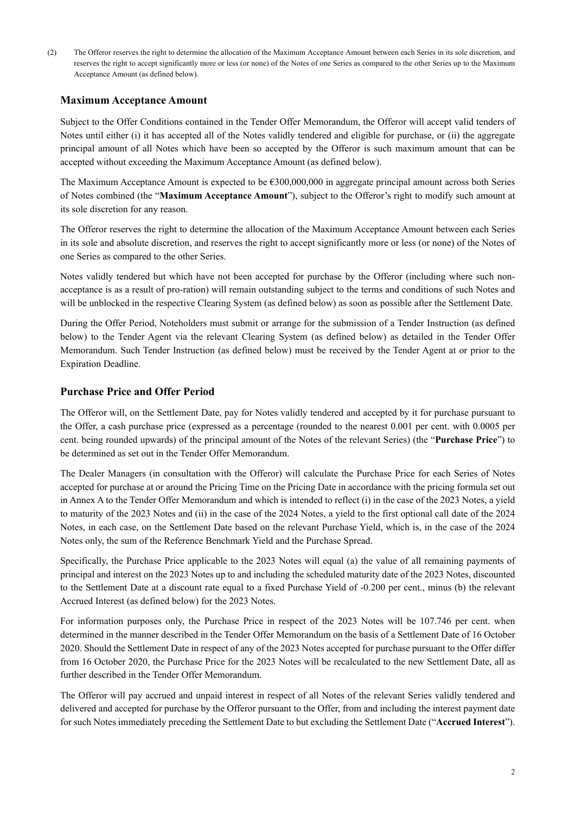(2) The Offeror reserves the right to determine the allocation of the Maximum Acceptance Amount between each Series in its sole discretion, and reserves the right to accept significantly more or less (or none) of the Notes of one Series as compared to the other Series up to the Maximum Acceptance Amount (as defined below).

# **Maximum Acceptance Amount**

Subject to the Offer Conditions contained in the Tender Offer Memorandum, the Offeror will accept valid tenders of Notes until either (i) it has accepted all of the Notes validly tendered and eligible for purchase, or (ii) the aggregate principal amount of all Notes which have been so accepted by the Offeror is such maximum amount that can be accepted without exceeding the Maximum Acceptance Amount (as defined below).

The Maximum Acceptance Amount is expected to be  $6300,000,000$  in aggregate principal amount across both Series of Notes combined (the "**Maximum Acceptance Amount**"), subject to the Offeror's right to modify such amount at its sole discretion for any reason.

The Offeror reserves the right to determine the allocation of the Maximum Acceptance Amount between each Series in its sole and absolute discretion, and reserves the right to accept significantly more or less (or none) of the Notes of one Series as compared to the other Series.

Notes validly tendered but which have not been accepted for purchase by the Offeror (including where such nonacceptance is as a result of pro-ration) will remain outstanding subject to the terms and conditions of such Notes and will be unblocked in the respective Clearing System (as defined below) as soon as possible after the Settlement Date.

During the Offer Period, Noteholders must submit or arrange for the submission of a Tender Instruction (as defined below) to the Tender Agent via the relevant Clearing System (as defined below) as detailed in the Tender Offer Memorandum. Such Tender Instruction (as defined below) must be received by the Tender Agent at or prior to the Expiration Deadline.

## **Purchase Price and Offer Period**

The Offeror will, on the Settlement Date, pay for Notes validly tendered and accepted by it for purchase pursuant to the Offer, a cash purchase price (expressed as a percentage (rounded to the nearest 0.001 per cent. with 0.0005 per cent. being rounded upwards) of the principal amount of the Notes of the relevant Series) (the "**Purchase Price**") to be determined as set out in the Tender Offer Memorandum.

The Dealer Managers (in consultation with the Offeror) will calculate the Purchase Price for each Series of Notes accepted for purchase at or around the Pricing Time on the Pricing Date in accordance with the pricing formula set out in Annex A to the Tender Offer Memorandum and which is intended to reflect (i) in the case of the 2023 Notes, a yield to maturity of the 2023 Notes and (ii) in the case of the 2024 Notes, a yield to the first optional call date of the 2024 Notes, in each case, on the Settlement Date based on the relevant Purchase Yield, which is, in the case of the 2024 Notes only, the sum of the Reference Benchmark Yield and the Purchase Spread.

Specifically, the Purchase Price applicable to the 2023 Notes will equal (a) the value of all remaining payments of principal and interest on the 2023 Notes up to and including the scheduled maturity date of the 2023 Notes, discounted to the Settlement Date at a discount rate equal to a fixed Purchase Yield of -0.200 per cent., minus (b) the relevant Accrued Interest (as defined below) for the 2023 Notes.

For information purposes only, the Purchase Price in respect of the 2023 Notes will be 107.746 per cent. when determined in the manner described in the Tender Offer Memorandum on the basis of a Settlement Date of 16 October 2020. Should the Settlement Date in respect of any of the 2023 Notes accepted for purchase pursuant to the Offer differ from 16 October 2020, the Purchase Price for the 2023 Notes will be recalculated to the new Settlement Date, all as further described in the Tender Offer Memorandum.

The Offeror will pay accrued and unpaid interest in respect of all Notes of the relevant Series validly tendered and delivered and accepted for purchase by the Offeror pursuant to the Offer, from and including the interest payment date for such Notes immediately preceding the Settlement Date to but excluding the Settlement Date ("**Accrued Interest**").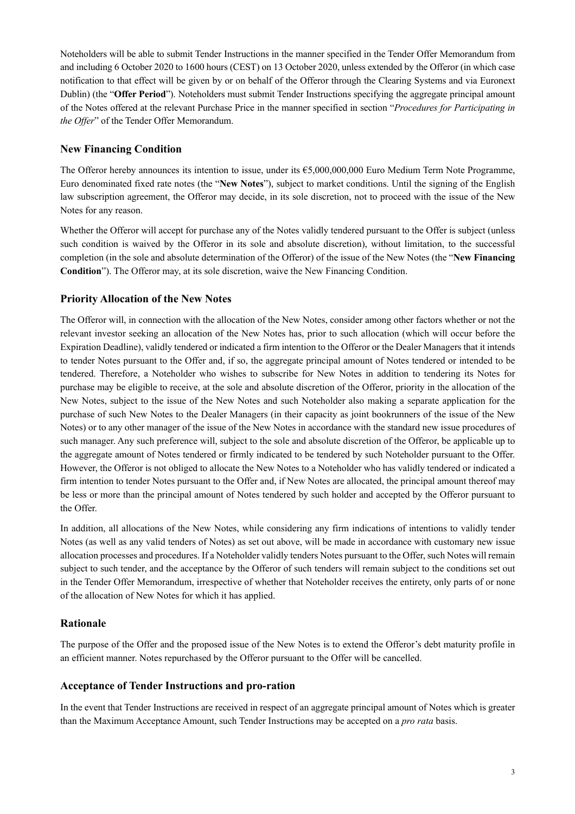Noteholders will be able to submit Tender Instructions in the manner specified in the Tender Offer Memorandum from and including 6 October 2020 to 1600 hours (CEST) on 13 October 2020, unless extended by the Offeror (in which case notification to that effect will be given by or on behalf of the Offeror through the Clearing Systems and via Euronext Dublin) (the "**Offer Period**"). Noteholders must submit Tender Instructions specifying the aggregate principal amount of the Notes offered at the relevant Purchase Price in the manner specified in section "*Procedures for Participating in the Offer*" of the Tender Offer Memorandum.

# **New Financing Condition**

The Offeror hereby announces its intention to issue, under its €5,000,000,000 Euro Medium Term Note Programme, Euro denominated fixed rate notes (the "**New Notes**"), subject to market conditions. Until the signing of the English law subscription agreement, the Offeror may decide, in its sole discretion, not to proceed with the issue of the New Notes for any reason.

Whether the Offeror will accept for purchase any of the Notes validly tendered pursuant to the Offer is subject (unless such condition is waived by the Offeror in its sole and absolute discretion), without limitation, to the successful completion (in the sole and absolute determination of the Offeror) of the issue of the New Notes (the "**New Financing Condition**"). The Offeror may, at its sole discretion, waive the New Financing Condition.

# **Priority Allocation of the New Notes**

The Offeror will, in connection with the allocation of the New Notes, consider among other factors whether or not the relevant investor seeking an allocation of the New Notes has, prior to such allocation (which will occur before the Expiration Deadline), validly tendered or indicated a firm intention to the Offeror or the Dealer Managers that it intends to tender Notes pursuant to the Offer and, if so, the aggregate principal amount of Notes tendered or intended to be tendered. Therefore, a Noteholder who wishes to subscribe for New Notes in addition to tendering its Notes for purchase may be eligible to receive, at the sole and absolute discretion of the Offeror, priority in the allocation of the New Notes, subject to the issue of the New Notes and such Noteholder also making a separate application for the purchase of such New Notes to the Dealer Managers (in their capacity as joint bookrunners of the issue of the New Notes) or to any other manager of the issue of the New Notes in accordance with the standard new issue procedures of such manager. Any such preference will, subject to the sole and absolute discretion of the Offeror, be applicable up to the aggregate amount of Notes tendered or firmly indicated to be tendered by such Noteholder pursuant to the Offer. However, the Offeror is not obliged to allocate the New Notes to a Noteholder who has validly tendered or indicated a firm intention to tender Notes pursuant to the Offer and, if New Notes are allocated, the principal amount thereof may be less or more than the principal amount of Notes tendered by such holder and accepted by the Offeror pursuant to the Offer.

In addition, all allocations of the New Notes, while considering any firm indications of intentions to validly tender Notes (as well as any valid tenders of Notes) as set out above, will be made in accordance with customary new issue allocation processes and procedures. If a Noteholder validly tenders Notes pursuant to the Offer, such Notes will remain subject to such tender, and the acceptance by the Offeror of such tenders will remain subject to the conditions set out in the Tender Offer Memorandum, irrespective of whether that Noteholder receives the entirety, only parts of or none of the allocation of New Notes for which it has applied.

# **Rationale**

The purpose of the Offer and the proposed issue of the New Notes is to extend the Offeror's debt maturity profile in an efficient manner. Notes repurchased by the Offeror pursuant to the Offer will be cancelled.

# **Acceptance of Tender Instructions and pro-ration**

In the event that Tender Instructions are received in respect of an aggregate principal amount of Notes which is greater than the Maximum Acceptance Amount, such Tender Instructions may be accepted on a *pro rata* basis.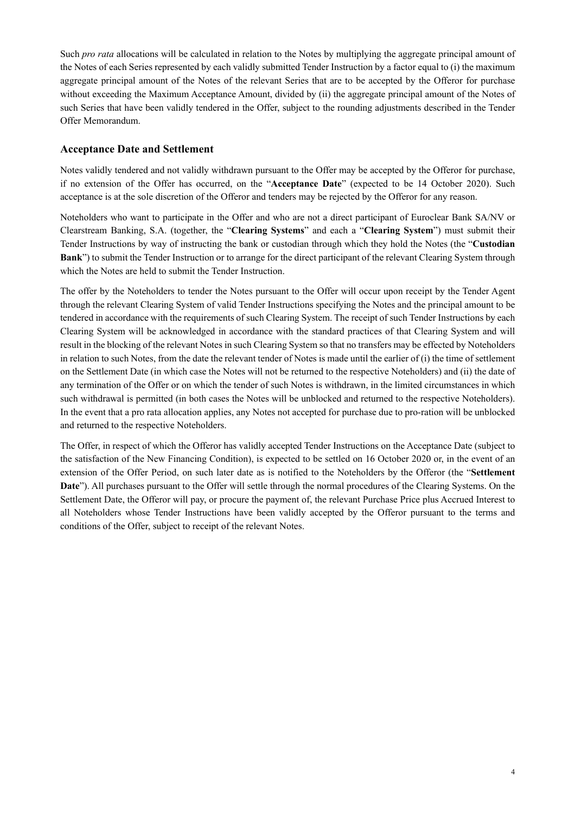Such *pro rata* allocations will be calculated in relation to the Notes by multiplying the aggregate principal amount of the Notes of each Series represented by each validly submitted Tender Instruction by a factor equal to (i) the maximum aggregate principal amount of the Notes of the relevant Series that are to be accepted by the Offeror for purchase without exceeding the Maximum Acceptance Amount, divided by (ii) the aggregate principal amount of the Notes of such Series that have been validly tendered in the Offer, subject to the rounding adjustments described in the Tender Offer Memorandum.

## **Acceptance Date and Settlement**

Notes validly tendered and not validly withdrawn pursuant to the Offer may be accepted by the Offeror for purchase, if no extension of the Offer has occurred, on the "**Acceptance Date**" (expected to be 14 October 2020). Such acceptance is at the sole discretion of the Offeror and tenders may be rejected by the Offeror for any reason.

Noteholders who want to participate in the Offer and who are not a direct participant of Euroclear Bank SA/NV or Clearstream Banking, S.A. (together, the "**Clearing Systems**" and each a "**Clearing System**") must submit their Tender Instructions by way of instructing the bank or custodian through which they hold the Notes (the "**Custodian Bank**") to submit the Tender Instruction or to arrange for the direct participant of the relevant Clearing System through which the Notes are held to submit the Tender Instruction.

The offer by the Noteholders to tender the Notes pursuant to the Offer will occur upon receipt by the Tender Agent through the relevant Clearing System of valid Tender Instructions specifying the Notes and the principal amount to be tendered in accordance with the requirements of such Clearing System. The receipt of such Tender Instructions by each Clearing System will be acknowledged in accordance with the standard practices of that Clearing System and will result in the blocking of the relevant Notes in such Clearing System so that no transfers may be effected by Noteholders in relation to such Notes, from the date the relevant tender of Notes is made until the earlier of  $(i)$  the time of settlement on the Settlement Date (in which case the Notes will not be returned to the respective Noteholders) and (ii) the date of any termination of the Offer or on which the tender of such Notes is withdrawn, in the limited circumstances in which such withdrawal is permitted (in both cases the Notes will be unblocked and returned to the respective Noteholders). In the event that a pro rata allocation applies, any Notes not accepted for purchase due to pro-ration will be unblocked and returned to the respective Noteholders.

The Offer, in respect of which the Offeror has validly accepted Tender Instructions on the Acceptance Date (subject to the satisfaction of the New Financing Condition), is expected to be settled on 16 October 2020 or, in the event of an extension of the Offer Period, on such later date as is notified to the Noteholders by the Offeror (the "**Settlement Date**"). All purchases pursuant to the Offer will settle through the normal procedures of the Clearing Systems. On the Settlement Date, the Offeror will pay, or procure the payment of, the relevant Purchase Price plus Accrued Interest to all Noteholders whose Tender Instructions have been validly accepted by the Offeror pursuant to the terms and conditions of the Offer, subject to receipt of the relevant Notes.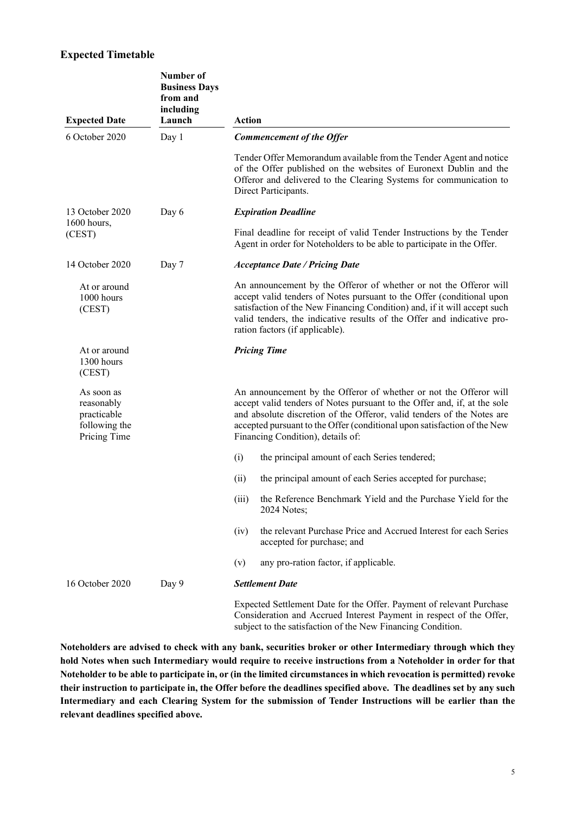# **Expected Timetable**

| <b>Expected Date</b>                                                     | Number of<br><b>Business Days</b><br>from and<br>including<br>Launch | <b>Action</b>                                                                                                                                                                                                                                                                                                                            |  |  |  |  |
|--------------------------------------------------------------------------|----------------------------------------------------------------------|------------------------------------------------------------------------------------------------------------------------------------------------------------------------------------------------------------------------------------------------------------------------------------------------------------------------------------------|--|--|--|--|
| 6 October 2020                                                           | Day 1                                                                | <b>Commencement of the Offer</b>                                                                                                                                                                                                                                                                                                         |  |  |  |  |
|                                                                          |                                                                      | Tender Offer Memorandum available from the Tender Agent and notice<br>of the Offer published on the websites of Euronext Dublin and the<br>Offeror and delivered to the Clearing Systems for communication to<br>Direct Participants.                                                                                                    |  |  |  |  |
| 13 October 2020                                                          | Day 6                                                                | <b>Expiration Deadline</b>                                                                                                                                                                                                                                                                                                               |  |  |  |  |
| 1600 hours,<br>(CEST)                                                    |                                                                      | Final deadline for receipt of valid Tender Instructions by the Tender<br>Agent in order for Noteholders to be able to participate in the Offer.                                                                                                                                                                                          |  |  |  |  |
| 14 October 2020                                                          | Day 7                                                                | <b>Acceptance Date / Pricing Date</b>                                                                                                                                                                                                                                                                                                    |  |  |  |  |
| At or around<br>1000 hours<br>(CEST)                                     |                                                                      | An announcement by the Offeror of whether or not the Offeror will<br>accept valid tenders of Notes pursuant to the Offer (conditional upon<br>satisfaction of the New Financing Condition) and, if it will accept such<br>valid tenders, the indicative results of the Offer and indicative pro-<br>ration factors (if applicable).      |  |  |  |  |
| At or around<br>1300 hours<br>(CEST)                                     |                                                                      | <b>Pricing Time</b>                                                                                                                                                                                                                                                                                                                      |  |  |  |  |
| As soon as<br>reasonably<br>practicable<br>following the<br>Pricing Time |                                                                      | An announcement by the Offeror of whether or not the Offeror will<br>accept valid tenders of Notes pursuant to the Offer and, if, at the sole<br>and absolute discretion of the Offeror, valid tenders of the Notes are<br>accepted pursuant to the Offer (conditional upon satisfaction of the New<br>Financing Condition), details of: |  |  |  |  |
|                                                                          |                                                                      | (i)<br>the principal amount of each Series tendered;                                                                                                                                                                                                                                                                                     |  |  |  |  |
|                                                                          |                                                                      | the principal amount of each Series accepted for purchase;<br>(ii)                                                                                                                                                                                                                                                                       |  |  |  |  |
|                                                                          |                                                                      | the Reference Benchmark Yield and the Purchase Yield for the<br>(iii)<br>2024 Notes;                                                                                                                                                                                                                                                     |  |  |  |  |
|                                                                          |                                                                      | the relevant Purchase Price and Accrued Interest for each Series<br>(iv)<br>accepted for purchase; and                                                                                                                                                                                                                                   |  |  |  |  |
|                                                                          |                                                                      | any pro-ration factor, if applicable.<br>(v)                                                                                                                                                                                                                                                                                             |  |  |  |  |
| 16 October 2020                                                          | Day 9                                                                | <b>Settlement Date</b>                                                                                                                                                                                                                                                                                                                   |  |  |  |  |
|                                                                          |                                                                      | Expected Settlement Date for the Offer. Payment of relevant Purchase<br>Consideration and Accrued Interest Payment in respect of the Offer,                                                                                                                                                                                              |  |  |  |  |

subject to the satisfaction of the New Financing Condition.

**Noteholders are advised to check with any bank, securities broker or other Intermediary through which they hold Notes when such Intermediary would require to receive instructions from a Noteholder in order for that Noteholder to be able to participate in, or (in the limited circumstances in which revocation is permitted) revoke their instruction to participate in, the Offer before the deadlines specified above. The deadlines set by any such Intermediary and each Clearing System for the submission of Tender Instructions will be earlier than the relevant deadlines specified above.**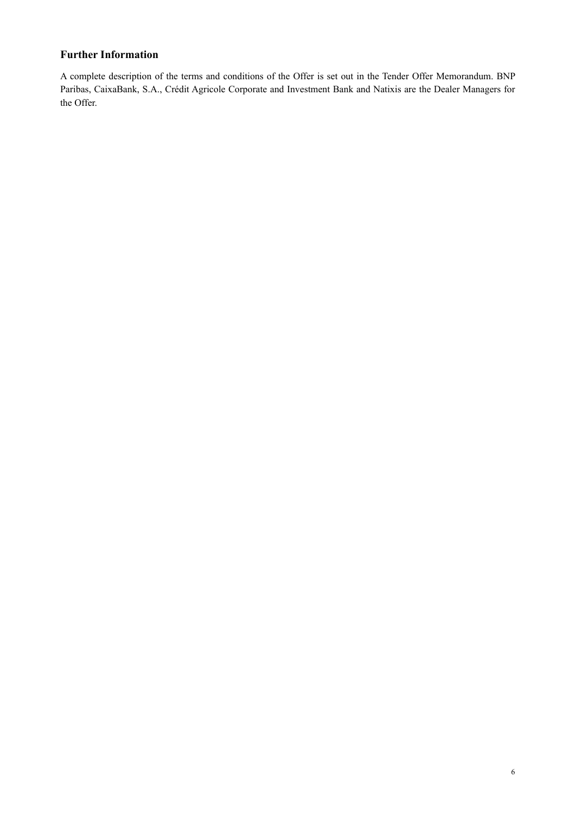# **Further Information**

A complete description of the terms and conditions of the Offer is set out in the Tender Offer Memorandum. BNP Paribas, CaixaBank, S.A., Crédit Agricole Corporate and Investment Bank and Natixis are the Dealer Managers for the Offer.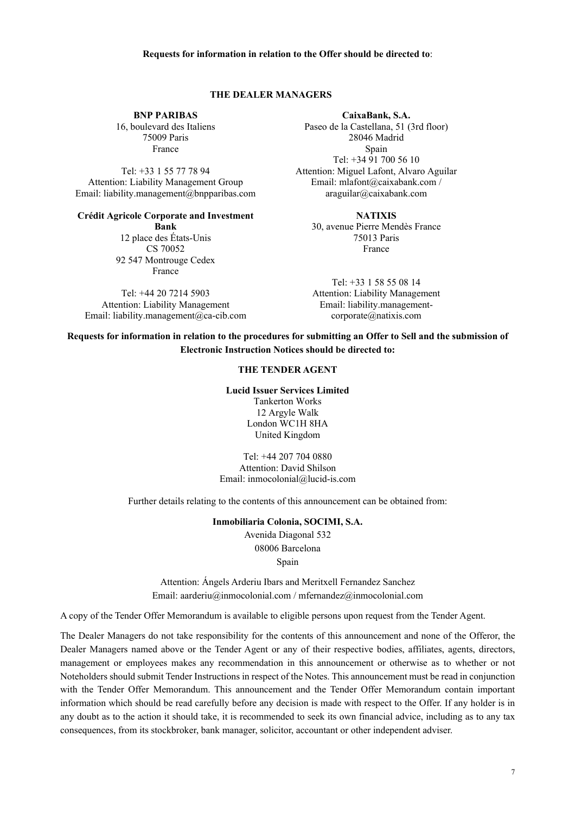#### **THE DEALER MANAGERS**

**BNP PARIBAS** 

16, boulevard des Italiens 75009 Paris France

Tel: +33 1 55 77 78 94 Attention: Liability Management Group Email: liability.management@bnpparibas.com

#### **Crédit Agricole Corporate and Investment**

**Bank**  12 place des États-Unis CS 70052 92 547 Montrouge Cedex France

Tel:  $+44$  20 7214 5903 Attention: Liability Management Email: liability.management@ca-cib.com

**CaixaBank, S.A.** Paseo de la Castellana, 51 (3rd floor) 28046 Madrid Spain Tel: +34 91 700 56 10 Attention: Miguel Lafont, Alvaro Aguilar Email: mlafont@caixabank.com / araguilar@caixabank.com

> **NATIXIS**  30, avenue Pierre Mendès France 75013 Paris France

> Tel: +33 1 58 55 08 14 Attention: Liability Management Email: liability.managementcorporate@natixis.com

### **Requests for information in relation to the procedures for submitting an Offer to Sell and the submission of Electronic Instruction Notices should be directed to:**

#### **THE TENDER AGENT**

### **Lucid Issuer Services Limited** Tankerton Works 12 Argyle Walk

London WC1H 8HA United Kingdom

Tel: +44 207 704 0880 Attention: David Shilson Email: inmocolonial@lucid-is.com

Further details relating to the contents of this announcement can be obtained from:

#### **Inmobiliaria Colonia, SOCIMI, S.A.**

Avenida Diagonal 532 08006 Barcelona Spain

Attention: Ángels Arderiu Ibars and Meritxell Fernandez Sanchez Email: aarderiu@inmocolonial.com / mfernandez@inmocolonial.com

A copy of the Tender Offer Memorandum is available to eligible persons upon request from the Tender Agent.

The Dealer Managers do not take responsibility for the contents of this announcement and none of the Offeror, the Dealer Managers named above or the Tender Agent or any of their respective bodies, affiliates, agents, directors, management or employees makes any recommendation in this announcement or otherwise as to whether or not Noteholders should submit Tender Instructions in respect of the Notes. This announcement must be read in conjunction with the Tender Offer Memorandum. This announcement and the Tender Offer Memorandum contain important information which should be read carefully before any decision is made with respect to the Offer. If any holder is in any doubt as to the action it should take, it is recommended to seek its own financial advice, including as to any tax consequences, from its stockbroker, bank manager, solicitor, accountant or other independent adviser.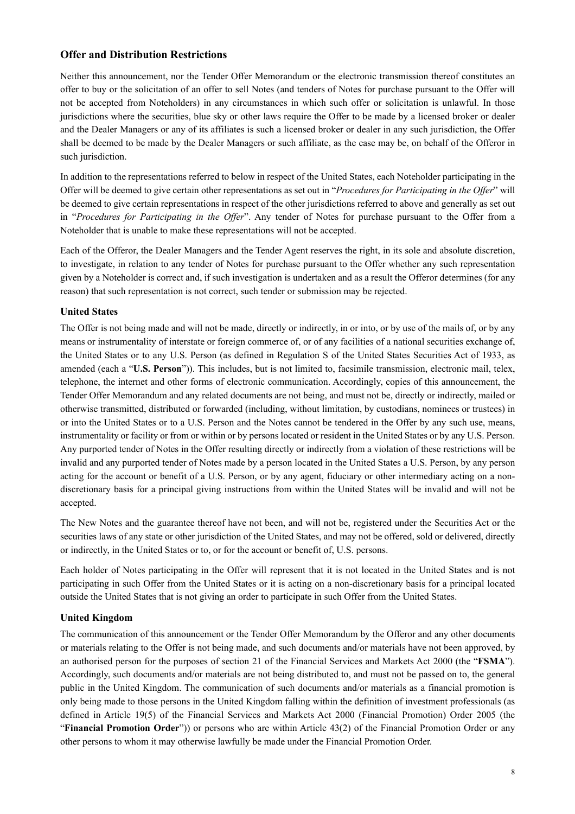### **Offer and Distribution Restrictions**

Neither this announcement, nor the Tender Offer Memorandum or the electronic transmission thereof constitutes an offer to buy or the solicitation of an offer to sell Notes (and tenders of Notes for purchase pursuant to the Offer will not be accepted from Noteholders) in any circumstances in which such offer or solicitation is unlawful. In those jurisdictions where the securities, blue sky or other laws require the Offer to be made by a licensed broker or dealer and the Dealer Managers or any of its affiliates is such a licensed broker or dealer in any such jurisdiction, the Offer shall be deemed to be made by the Dealer Managers or such affiliate, as the case may be, on behalf of the Offeror in such jurisdiction.

In addition to the representations referred to below in respect of the United States, each Noteholder participating in the Offer will be deemed to give certain other representations as set out in "*Procedures for Participating in the Offer*" will be deemed to give certain representations in respect of the other jurisdictions referred to above and generally as set out in "*Procedures for Participating in the Offer*". Any tender of Notes for purchase pursuant to the Offer from a Noteholder that is unable to make these representations will not be accepted.

Each of the Offeror, the Dealer Managers and the Tender Agent reserves the right, in its sole and absolute discretion, to investigate, in relation to any tender of Notes for purchase pursuant to the Offer whether any such representation given by a Noteholder is correct and, if such investigation is undertaken and as a result the Offeror determines (for any reason) that such representation is not correct, such tender or submission may be rejected.

## **United States**

The Offer is not being made and will not be made, directly or indirectly, in or into, or by use of the mails of, or by any means or instrumentality of interstate or foreign commerce of, or of any facilities of a national securities exchange of, the United States or to any U.S. Person (as defined in Regulation S of the United States Securities Act of 1933, as amended (each a "**U.S. Person**")). This includes, but is not limited to, facsimile transmission, electronic mail, telex, telephone, the internet and other forms of electronic communication. Accordingly, copies of this announcement, the Tender Offer Memorandum and any related documents are not being, and must not be, directly or indirectly, mailed or otherwise transmitted, distributed or forwarded (including, without limitation, by custodians, nominees or trustees) in or into the United States or to a U.S. Person and the Notes cannot be tendered in the Offer by any such use, means, instrumentality or facility or from or within or by persons located or resident in the United States or by any U.S. Person. Any purported tender of Notes in the Offer resulting directly or indirectly from a violation of these restrictions will be invalid and any purported tender of Notes made by a person located in the United States a U.S. Person, by any person acting for the account or benefit of a U.S. Person, or by any agent, fiduciary or other intermediary acting on a nondiscretionary basis for a principal giving instructions from within the United States will be invalid and will not be accepted.

The New Notes and the guarantee thereof have not been, and will not be, registered under the Securities Act or the securities laws of any state or other jurisdiction of the United States, and may not be offered, sold or delivered, directly or indirectly, in the United States or to, or for the account or benefit of, U.S. persons.

Each holder of Notes participating in the Offer will represent that it is not located in the United States and is not participating in such Offer from the United States or it is acting on a non-discretionary basis for a principal located outside the United States that is not giving an order to participate in such Offer from the United States.

### **United Kingdom**

The communication of this announcement or the Tender Offer Memorandum by the Offeror and any other documents or materials relating to the Offer is not being made, and such documents and/or materials have not been approved, by an authorised person for the purposes of section 21 of the Financial Services and Markets Act 2000 (the "**FSMA**"). Accordingly, such documents and/or materials are not being distributed to, and must not be passed on to, the general public in the United Kingdom. The communication of such documents and/or materials as a financial promotion is only being made to those persons in the United Kingdom falling within the definition of investment professionals (as defined in Article 19(5) of the Financial Services and Markets Act 2000 (Financial Promotion) Order 2005 (the "**Financial Promotion Order**")) or persons who are within Article 43(2) of the Financial Promotion Order or any other persons to whom it may otherwise lawfully be made under the Financial Promotion Order.